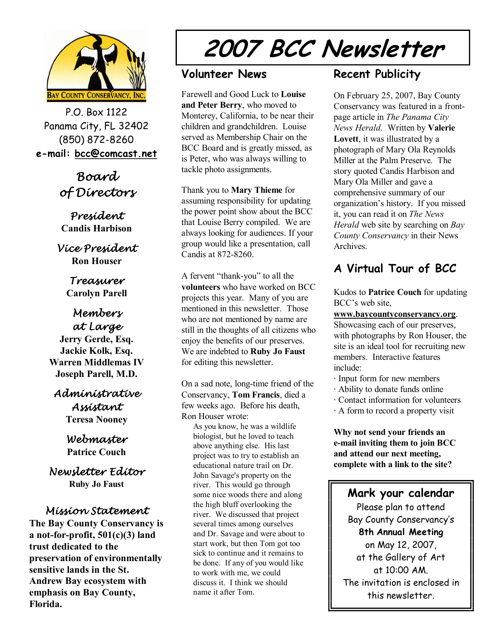

P.O. Box 1122 Panama City, FL 32402 (850) 872-8260 **e-mail: bcc@comcast.net**

# *Board of Directors*

*President* **Candis Harbison** 

*Vice President* **Ron Houser**

> *Treasurer* **Carolyn Parell**

# *Members at Large*

**Jerry Gerde, Esq. Jackie Kolk, Esq. Warren Middlemas IV Joseph Parell, M.D.**

#### *Administrative Assistant* **Teresa Nooney**

*Webmaster* **Patrice Couch** 

*Newsletter Editor* **Ruby Jo Faust** 

#### *Mission Statement*

**The Bay County Conservancy is** a not-for-profit,  $501(c)(3)$  land **trust dedicated to the preservation of environmentally sensitive lands in the St. Andrew Bay ecosystem with emphasis on Bay County, Florida.**

# **2007 BCC Newsletter**

#### **Volunteer News**

Farewell and Good Luck to **Louise and Peter Berry**, who moved to Monterey, California, to be near their children and grandchildren. Louise served as Membership Chair on the BCC Board and is greatly missed, as is Peter, who was always willing to tackle photo assignments.

Thank you to **Mary Thieme** for assuming responsibility for updating the power point show about the BCC that Louise Berry compiled. We are always looking for audiences. If your group would like a presentation, call Candis at  $872 - 8260$ .

A fervent "thank-you" to all the **volunteers** who have worked on BCC projects this year. Many of you are mentioned in this newsletter. Those who are not mentioned by name are still in the thoughts of all citizens who enjoy the benefits of our preserves. We are indebted to **Ruby Jo Faust** for editing this newsletter.

On a sad note, long-time friend of the Conservancy, **Tom Francis**, died a few weeks ago. Before his death, Ron Houser wrote:

As you know, he was a wildlife biologist, but he loved to teach above anything else. His last project was to try to establish an educational nature trail on Dr. John Savage's property on the river. This would go through some nice woods there and along the high bluff overlooking the river. We discussed that project several times among ourselves and Dr. Savage and were about to start work, but then Tom got too sick to continue and it remains to be done. If any of you would like to work with me, we could discuss it. I think we should name it after Tom.

## **Recent Publicity**

On February 25, 2007, Bay County Conservancy was featured in a front page article in *The Panama City News Herald.* Written by **Valerie Lovett**, it was illustrated by a photograph of Mary Ola Reynolds Miller at the Palm Preserve. The story quoted Candis Harbison and Mary Ola Miller and gave a comprehensive summary of our organization's history. If you missed it, you can read it on *The News Herald* web site by searching on *Bay County Conservancy* in their News Archives.

## **A Virtual Tour of BCC**

Kudos to **Patrice Couch** for updating BCC's web site,

**www.baycountyconservancy.org**. Showcasing each of our preserves, with photographs by Ron Houser, the site is an ideal tool for recruiting new members. Interactive features include:

- ∙ Input form for new members
- ∙ Ability to donate funds online
- ∙ Contact information for volunteers
- ∙ A form to record a property visit

**Why not send your friends an email inviting them to join BCC and attend our next meeting, complete with a link to the site?** 

#### **Mark your calendar**

Please plan to attend Bay County Conservancy's **8th Annual Meeting** on May 12, 2007, at the Gallery of Art at 10:00 AM. The invitation is enclosed in this newsletter.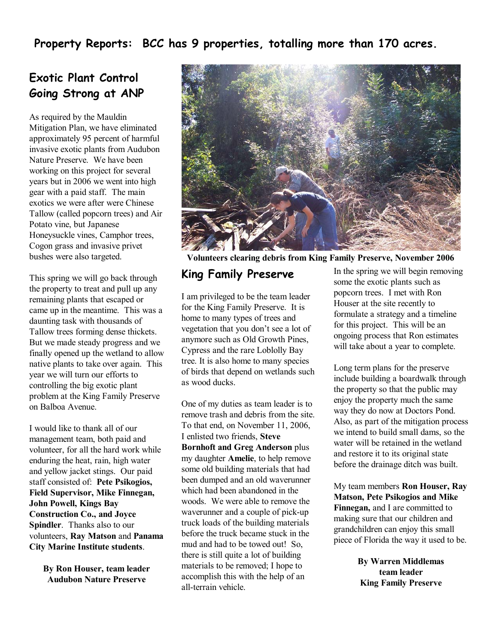**Property Reports: BCC has 9 properties, totalling more than 170 acres.**

#### **Exotic Plant Control Going Strong at ANP**

As required by the Mauldin Mitigation Plan, we have eliminated approximately 95 percent of harmful invasive exotic plants from Audubon Nature Preserve. We have been working on this project for several years but in 2006 we went into high gear with a paid staff. The main exotics we were after were Chinese Tallow (called popcorn trees) and Air Potato vine, but Japanese Honeysuckle vines, Camphor trees, Cogon grass and invasive privet bushes were also targeted.

This spring we will go back through the property to treat and pull up any remaining plants that escaped or came up in the meantime. This was a daunting task with thousands of Tallow trees forming dense thickets. But we made steady progress and we finally opened up the wetland to allow native plants to take over again. This year we will turn our efforts to controlling the big exotic plant problem at the King Family Preserve on Balboa Avenue.

I would like to thank all of our management team, both paid and volunteer, for all the hard work while enduring the heat, rain, high water and yellow jacket stings. Our paid staff consisted of: **Pete Psikogios, Field Supervisor, Mike Finnegan, John Powell, Kings Bay Construction Co., and Joyce Spindler**. Thanks also to our volunteers, **Ray Matson** and **Panama City Marine Institute students**.

> **By Ron Houser, team leader Audubon Nature Preserve**



**Volunteers clearing debris from King Family Preserve, November 2006**

#### **King Family Preserve**

I am privileged to be the team leader for the King Family Preserve. It is home to many types of trees and vegetation that you don't see a lot of anymore such as Old Growth Pines, Cypress and the rare Loblolly Bay tree. It is also home to many species of birds that depend on wetlands such as wood ducks.

One of my duties as team leader is to remove trash and debris from the site. To that end, on November 11, 2006, I enlisted two friends, **Steve Bornhoft and Greg Anderson** plus my daughter **Amelie**, to help remove some old building materials that had been dumped and an old waverunner which had been abandoned in the woods. We were able to remove the waverunner and a couple of pick-up truck loads of the building materials before the truck became stuck in the mud and had to be towed out! So, there is still quite a lot of building materials to be removed; I hope to accomplish this with the help of an all-terrain vehicle.

In the spring we will begin removing some the exotic plants such as popcorn trees. I met with Ron Houser at the site recently to formulate a strategy and a timeline for this project. This will be an ongoing process that Ron estimates will take about a year to complete.

Long term plans for the preserve include building a boardwalk through the property so that the public may enjoy the property much the same way they do now at Doctors Pond. Also, as part of the mitigation process we intend to build small dams, so the water will be retained in the wetland and restore it to its original state before the drainage ditch was built.

My team members **Ron Houser, Ray Matson, Pete Psikogios and Mike Finnegan,** and I are committed to making sure that our children and grandchildren can enjoy this small piece of Florida the way it used to be.

> **By Warren Middlemas team leader King Family Preserve**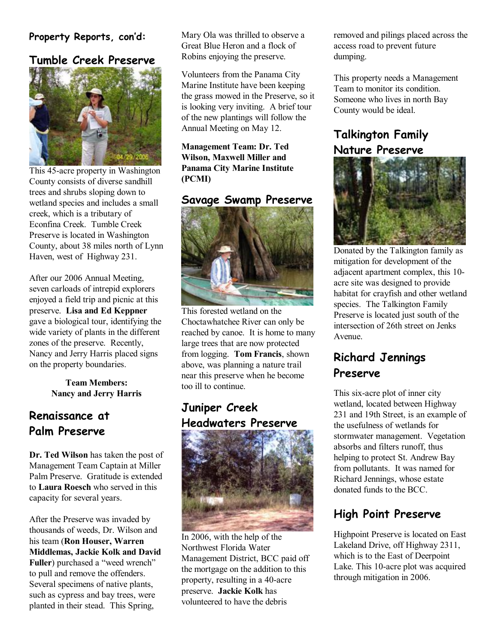#### **Property Reports, con'd:**

## **Tumble Creek Preserve**



This 45-acre property in Washington County consists of diverse sandhill trees and shrubs sloping down to wetland species and includes a small creek, which is a tributary of Econfina Creek. Tumble Creek Preserve is located in Washington County, about 38 miles north of Lynn Haven, west of Highway 231.

After our 2006 Annual Meeting, seven carloads of intrepid explorers enjoyed a field trip and picnic at this preserve. **Lisa and Ed Keppner** gave a biological tour, identifying the wide variety of plants in the different zones of the preserve. Recently, Nancy and Jerry Harris placed signs on the property boundaries.

> **Team Members: Nancy and Jerry Harris**

# **Renaissance at Palm Preserve**

**Dr. Ted Wilson** has taken the post of Management Team Captain at Miller Palm Preserve. Gratitude is extended to **Laura Roesch** who served in this capacity for several years.

After the Preserve was invaded by thousands of weeds, Dr. Wilson and his team (**Ron Houser, Warren Middlemas, Jackie Kolk and David Fuller**) purchased a "weed wrench" to pull and remove the offenders. Several specimens of native plants, such as cypress and bay trees, were planted in their stead. This Spring,

Mary Ola was thrilled to observe a Great Blue Heron and a flock of Robins enjoying the preserve.

Volunteers from the Panama City Marine Institute have been keeping the grass mowed in the Preserve, so it is looking very inviting. A brief tour of the new plantings will follow the Annual Meeting on May 12.

**Management Team: Dr. Ted Wilson, Maxwell Miller and Panama City Marine Institute (PCMI)** 

#### **Savage Swamp Preserve**



This forested wetland on the Choctawhatchee River can only be reached by canoe. It is home to many large trees that are now protected from logging. **Tom Francis**, shown above, was planning a nature trail near this preserve when he become too ill to continue.

# **Juniper Creek Headwaters Preserve**



In 2006, with the help of the Northwest Florida Water Management District, BCC paid off the mortgage on the addition to this property, resulting in a 40-acre preserve. **Jackie Kolk** has volunteered to have the debris

removed and pilings placed across the access road to prevent future dumping.

This property needs a Management Team to monitor its condition. Someone who lives in north Bay County would be ideal.

#### **Talkington Family Nature Preserve**



Donated by the Talkington family as mitigation for development of the adjacent apartment complex, this 10 acre site was designed to provide habitat for crayfish and other wetland species. The Talkington Family Preserve is located just south of the intersection of 26th street on Jenks Avenue.

## **Richard Jennings Preserve**

This six-acre plot of inner city wetland, located between Highway 231 and 19th Street, is an example of the usefulness of wetlands for stormwater management. Vegetation absorbs and filters runoff, thus helping to protect St. Andrew Bay from pollutants. It was named for Richard Jennings, whose estate donated funds to the BCC.

## **High Point Preserve**

Highpoint Preserve is located on East Lakeland Drive, off Highway 2311, which is to the East of Deerpoint Lake. This 10-acre plot was acquired through mitigation in 2006.